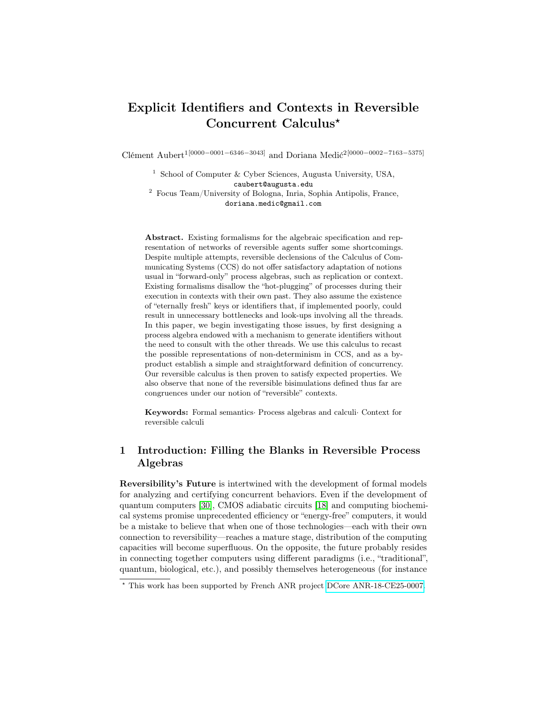# Explicit Identifiers and Contexts in Reversible Concurrent Calculus?

Clément Aubert1[0000−0001−6346−3043] and Doriana Medić2[0000−0002−7163−5375]

 $^{\rm 1}$  School of Computer & Cyber Sciences, Augusta University, USA, caubert@augusta.edu

<sup>2</sup> Focus Team/University of Bologna, Inria, Sophia Antipolis, France, doriana.medic@gmail.com

Abstract. Existing formalisms for the algebraic specification and representation of networks of reversible agents suffer some shortcomings. Despite multiple attempts, reversible declensions of the Calculus of Communicating Systems (CCS) do not offer satisfactory adaptation of notions usual in "forward-only" process algebras, such as replication or context. Existing formalisms disallow the "hot-plugging" of processes during their execution in contexts with their own past. They also assume the existence of "eternally fresh" keys or identifiers that, if implemented poorly, could result in unnecessary bottlenecks and look-ups involving all the threads. In this paper, we begin investigating those issues, by first designing a process algebra endowed with a mechanism to generate identifiers without the need to consult with the other threads. We use this calculus to recast the possible representations of non-determinism in CCS, and as a byproduct establish a simple and straightforward definition of concurrency. Our reversible calculus is then proven to satisfy expected properties. We also observe that none of the reversible bisimulations defined thus far are congruences under our notion of "reversible" contexts.

Keywords: Formal semantics· Process algebras and calculi· Context for reversible calculi

# 1 Introduction: Filling the Blanks in Reversible Process Algebras

Reversibility's Future is intertwined with the development of formal models for analyzing and certifying concurrent behaviors. Even if the development of quantum computers [\[30\]](#page-17-0), CMOS adiabatic circuits [\[18\]](#page-16-0) and computing biochemical systems promise unprecedented efficiency or "energy-free" computers, it would be a mistake to believe that when one of those technologies—each with their own connection to reversibility—reaches a mature stage, distribution of the computing capacities will become superfluous. On the opposite, the future probably resides in connecting together computers using different paradigms (i.e., "traditional", quantum, biological, etc.), and possibly themselves heterogeneous (for instance

<sup>?</sup> This work has been supported by French ANR project [DCore ANR-18-CE25-0007.](https://project.inria.fr/dcore/)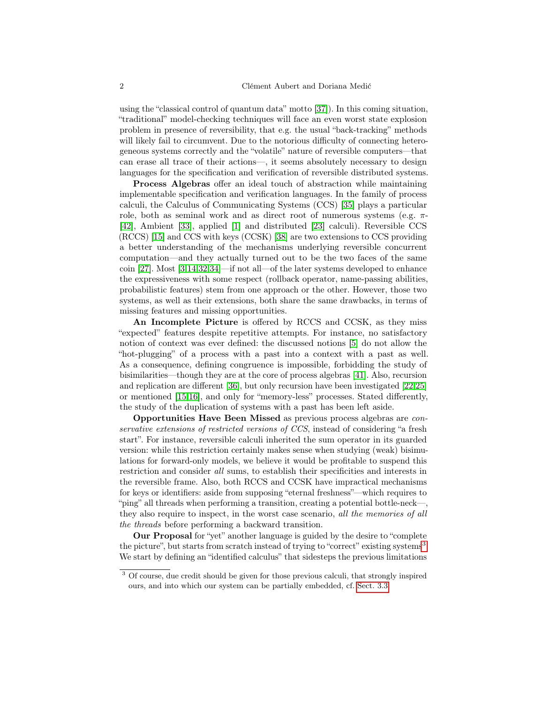using the "classical control of quantum data" motto [\[37\]](#page-17-1)). In this coming situation, "traditional" model-checking techniques will face an even worst state explosion problem in presence of reversibility, that e.g. the usual "back-tracking" methods will likely fail to circumvent. Due to the notorious difficulty of connecting heterogeneous systems correctly and the "volatile" nature of reversible computers—that can erase all trace of their actions—, it seems absolutely necessary to design languages for the specification and verification of reversible distributed systems.

Process Algebras offer an ideal touch of abstraction while maintaining implementable specification and verification languages. In the family of process calculi, the Calculus of Communicating Systems (CCS) [\[35\]](#page-17-2) plays a particular role, both as seminal work and as direct root of numerous systems (e.g.  $\pi$ -[\[42\]](#page-17-3), Ambient [\[33\]](#page-17-4), applied [\[1\]](#page-15-0) and distributed [\[23\]](#page-16-1) calculi). Reversible CCS (RCCS) [\[15\]](#page-16-2) and CCS with keys (CCSK) [\[38\]](#page-17-5) are two extensions to CCS providing a better understanding of the mechanisms underlying reversible concurrent computation—and they actually turned out to be the two faces of the same coin [\[27\]](#page-16-3). Most [\[3,](#page-15-1)[14,](#page-16-4)[32](#page-17-6)[,34\]](#page-17-7)—if not all—of the later systems developed to enhance the expressiveness with some respect (rollback operator, name-passing abilities, probabilistic features) stem from one approach or the other. However, those two systems, as well as their extensions, both share the same drawbacks, in terms of missing features and missing opportunities.

An Incomplete Picture is offered by RCCS and CCSK, as they miss "expected" features despite repetitive attempts. For instance, no satisfactory notion of context was ever defined: the discussed notions [\[5\]](#page-15-2) do not allow the "hot-plugging" of a process with a past into a context with a past as well. As a consequence, defining congruence is impossible, forbidding the study of bisimilarities—though they are at the core of process algebras [\[41\]](#page-17-8). Also, recursion and replication are different [\[36\]](#page-17-9), but only recursion have been investigated [\[22](#page-16-5)[,25\]](#page-16-6) or mentioned [\[15,](#page-16-2)[16\]](#page-16-7), and only for "memory-less" processes. Stated differently, the study of the duplication of systems with a past has been left aside.

Opportunities Have Been Missed as previous process algebras are conservative extensions of restricted versions of CCS, instead of considering "a fresh start". For instance, reversible calculi inherited the sum operator in its guarded version: while this restriction certainly makes sense when studying (weak) bisimulations for forward-only models, we believe it would be profitable to suspend this restriction and consider all sums, to establish their specificities and interests in the reversible frame. Also, both RCCS and CCSK have impractical mechanisms for keys or identifiers: aside from supposing "eternal freshness"—which requires to "ping" all threads when performing a transition, creating a potential bottle-neck—, they also require to inspect, in the worst case scenario, all the memories of all the threads before performing a backward transition.

Our Proposal for "yet" another language is guided by the desire to "complete the picture", but starts from scratch instead of trying to "correct" existing systems<sup>[3](#page-1-0)</sup>. We start by defining an "identified calculus" that sidesteps the previous limitations

<span id="page-1-0"></span><sup>&</sup>lt;sup>3</sup> Of course, due credit should be given for those previous calculi, that strongly inspired ours, and into which our system can be partially embedded, cf. [Sect. 3.3.](#page-12-0)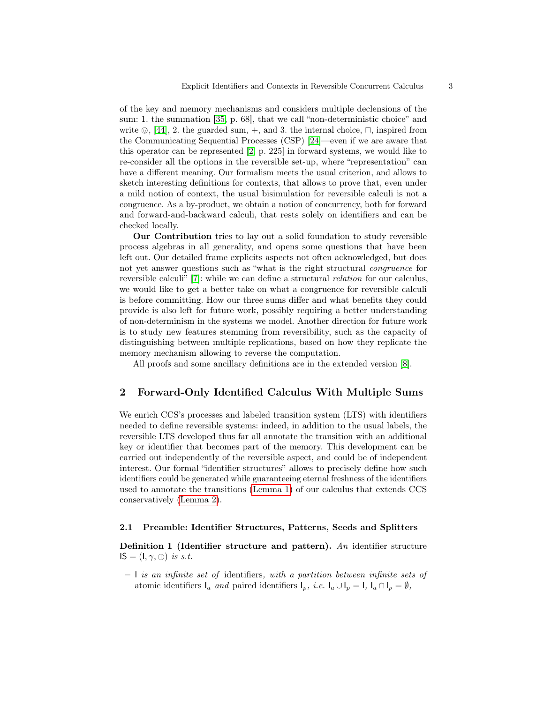of the key and memory mechanisms and considers multiple declensions of the sum: 1. the summation [\[35,](#page-17-2) p. 68], that we call "non-deterministic choice" and write  $\mathcal{Q},$  [\[44\]](#page-17-10), 2. the guarded sum,  $+$ , and 3. the internal choice,  $\Box$ , inspired from the Communicating Sequential Processes (CSP) [\[24\]](#page-16-8)—even if we are aware that this operator can be represented [\[2,](#page-15-3) p. 225] in forward systems, we would like to re-consider all the options in the reversible set-up, where "representation" can have a different meaning. Our formalism meets the usual criterion, and allows to sketch interesting definitions for contexts, that allows to prove that, even under a mild notion of context, the usual bisimulation for reversible calculi is not a congruence. As a by-product, we obtain a notion of concurrency, both for forward and forward-and-backward calculi, that rests solely on identifiers and can be checked locally.

Our Contribution tries to lay out a solid foundation to study reversible process algebras in all generality, and opens some questions that have been left out. Our detailed frame explicits aspects not often acknowledged, but does not yet answer questions such as "what is the right structural congruence for reversible calculi" [\[7\]](#page-15-4): while we can define a structural relation for our calculus, we would like to get a better take on what a congruence for reversible calculi is before committing. How our three sums differ and what benefits they could provide is also left for future work, possibly requiring a better understanding of non-determinism in the systems we model. Another direction for future work is to study new features stemming from reversibility, such as the capacity of distinguishing between multiple replications, based on how they replicate the memory mechanism allowing to reverse the computation.

All proofs and some ancillary definitions are in the extended version [\[8\]](#page-15-5).

## 2 Forward-Only Identified Calculus With Multiple Sums

We enrich CCS's processes and labeled transition system (LTS) with identifiers needed to define reversible systems: indeed, in addition to the usual labels, the reversible LTS developed thus far all annotate the transition with an additional key or identifier that becomes part of the memory. This development can be carried out independently of the reversible aspect, and could be of independent interest. Our formal "identifier structures" allows to precisely define how such identifiers could be generated while guaranteeing eternal freshness of the identifiers used to annotate the transitions [\(Lemma 1\)](#page-6-0) of our calculus that extends CCS conservatively [\(Lemma 2\)](#page-6-1).

#### 2.1 Preamble: Identifier Structures, Patterns, Seeds and Splitters

Definition 1 (Identifier structure and pattern). An identifier structure  $IS = (1, \gamma, \oplus)$  is s.t.

– I is an infinite set of identifiers, with a partition between infinite sets of atomic identifiers  $I_a$  and paired identifiers  $I_p$ , *i.e.*  $I_a \cup I_p = I$ ,  $I_a \cap I_p = \emptyset$ ,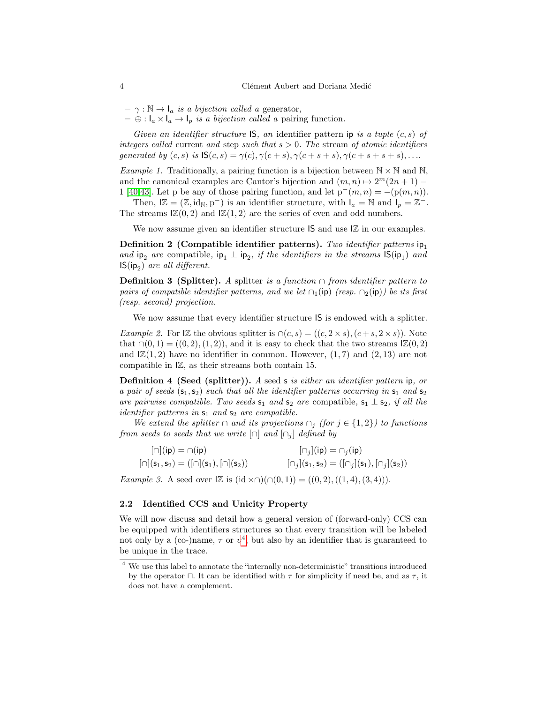- $-\gamma : \mathbb{N} \to \mathsf{I}_a$  is a bijection called a generator,
- $\oplus : I_a \times I_a \rightarrow I_p$  is a bijection called a pairing function.

Given an identifier structure  $\mathsf{IS},$  an identifier pattern ip is a tuple  $(c, s)$  of integers called current and step such that  $s > 0$ . The stream of atomic identifiers generated by  $(c, s)$  is  $\mathsf{IS}(c, s) = \gamma(c), \gamma(c + s), \gamma(c + s + s), \gamma(c + s + s + s), \ldots$ 

Example 1. Traditionally, a pairing function is a bijection between  $\mathbb{N} \times \mathbb{N}$  and  $\mathbb{N}$ , and the canonical examples are Cantor's bijection and  $(m, n) \mapsto 2^m(2n + 1)$ 1 [\[40](#page-17-11)[,43\]](#page-17-12). Let p be any of those pairing function, and let  $p^-(m, n) = -(p(m, n))$ .

Then,  $\mathbb{Z} = (\mathbb{Z}, \mathrm{id}_{\mathbb{N}}, p^-)$  is an identifier structure, with  $I_a = \mathbb{N}$  and  $I_p = \mathbb{Z}^-$ . The streams  $\mathbb{Z}(0,2)$  and  $\mathbb{Z}(1,2)$  are the series of even and odd numbers.

We now assume given an identifier structure IS and use  $\mathbb{Z}$  in our examples.

**Definition 2** (Compatible identifier patterns). Two identifier patterns  $ip_1$ and  $ip_2$  are compatible,  $ip_1 \perp ip_2$ , if the identifiers in the streams  $\mathsf{IS}(ip_1)$  and  $\mathsf{IS}(\mathsf{ip}_2)$  are all different.

**Definition 3 (Splitter).** A splitter is a function  $\cap$  from identifier pattern to pairs of compatible identifier patterns, and we let  $\cap_1(i_p)$  (resp.  $\cap_2(i_p)$ ) be its first (resp. second) projection.

We now assume that every identifier structure IS is endowed with a splitter.

*Example 2.* For  $\mathbb{Z}$  the obvious splitter is  $\cap(c, s) = ((c, 2 \times s), (c + s, 2 \times s))$ . Note that  $\cap (0, 1) = ((0, 2), (1, 2))$ , and it is easy to check that the two streams  $\mathbb{Z}(0, 2)$ and  $\mathbb{Z}(1,2)$  have no identifier in common. However,  $(1,7)$  and  $(2,13)$  are not compatible in IZ, as their streams both contain 15.

Definition 4 (Seed (splitter)). A seed s is either an identifier pattern ip, or a pair of seeds  $(s_1, s_2)$  such that all the identifier patterns occurring in  $s_1$  and  $s_2$ are pairwise compatible. Two seeds  $s_1$  and  $s_2$  are compatible,  $s_1 \perp s_2$ , if all the *identifier patterns in*  $s_1$  *and*  $s_2$  *are compatible.* 

We extend the splitter  $\cap$  and its projections  $\cap_i$  (for  $j \in \{1,2\}$ ) to functions from seeds to seeds that we write  $[\cap]$  and  $[\cap_j]$  defined by

$$
[\cap](\text{ip}) = \cap(\text{ip})
$$

$$
[\cap](\text{ip}) = \cap_j(\text{ip})
$$

$$
[\cap](\text{s}_1, \text{s}_2) = ([\cap](\text{s}_1), [\cap](\text{s}_2))
$$

$$
[\cap_j](\text{s}_1, \text{s}_2) = ([\cap_j](\text{s}_1), [\cap_j](\text{s}_2))
$$

Example 3. A seed over  $\mathbb{Z}$  is  $(id \times \cap)(\cap (0, 1)) = ((0, 2), ((1, 4), (3, 4))).$ 

#### 2.2 Identified CCS and Unicity Property

We will now discuss and detail how a general version of (forward-only) CCS can be equipped with identifiers structures so that every transition will be labeled not only by a (co-)name,  $\tau$  or  $v^4$  $v^4$ , but also by an identifier that is guaranteed to be unique in the trace.

<span id="page-3-0"></span> $^4\,$  We use this label to annotate the "internally non-deterministic" transitions introduced by the operator  $\Box$ . It can be identified with  $\tau$  for simplicity if need be, and as  $\tau$ , it does not have a complement.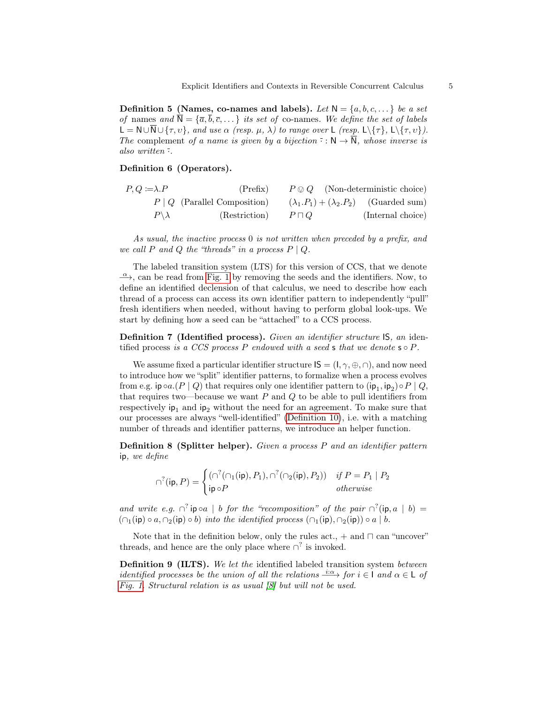**Definition 5** (Names, co-names and labels). Let  $N = \{a, b, c, \dots\}$  be a set of names and  $N = {\overline{a}, b, \overline{c}, \dots}$  its set of co-names. We define the set of labels  $\mathsf{L} = \mathsf{N} \cup \overline{\mathsf{N}} \cup \{\tau, v\},$  and use  $\alpha$  (resp.  $\mu$ ,  $\lambda$ ) to range over  $\mathsf{L}$  (resp.  $\mathsf{L}\setminus\{\tau\}$ ,  $\mathsf{L}\setminus\{\tau, v\}$ ). The complement of a name is given by a bijection  $\overline{\cdot} : \mathbb{N} \to \overline{\mathbb{N}}$ , whose inverse is also written  $\overline{\cdot}$ .

#### Definition 6 (Operators).

| $P, Q := \lambda.P$  | (Prefix)                                                                            | $P \otimes Q$ (Non-deterministic choice) |                   |
|----------------------|-------------------------------------------------------------------------------------|------------------------------------------|-------------------|
|                      | $P \mid Q$ (Parallel Composition) $(\lambda_1.P_1) + (\lambda_2.P_2)$ (Guarded sum) |                                          |                   |
| $P\backslash\lambda$ | $(Restriterion)$ $P \sqcap Q$                                                       |                                          | (Internal choice) |

As usual, the inactive process 0 is not written when preceded by a prefix, and we call P and Q the "threads" in a process  $P \mid Q$ .

The labeled transition system (LTS) for this version of CCS, that we denote  $\rightarrow$ , can be read from [Fig. 1](#page-5-0) by removing the seeds and the identifiers. Now, to define an identified declension of that calculus, we need to describe how each thread of a process can access its own identifier pattern to independently "pull" fresh identifiers when needed, without having to perform global look-ups. We start by defining how a seed can be "attached" to a CCS process.

Definition 7 (Identified process). Given an identifier structure IS, an identified process is a CCS process P endowed with a seed  $s$  that we denote  $s \circ P$ .

We assume fixed a particular identifier structure  $\mathsf{IS} = (\mathsf{I}, \gamma, \oplus, \cap)$ , and now need to introduce how we "split" identifier patterns, to formalize when a process evolves from e.g. ip  $\circ a.(P \mid Q)$  that requires only one identifier pattern to  $(\mathsf{ip}_1, \mathsf{ip}_2) \circ P \mid Q$ , that requires two—because we want  $P$  and  $Q$  to be able to pull identifiers from respectively  $ip_1$  and  $ip_2$  without the need for an agreement. To make sure that our processes are always "well-identified" [\(Definition 10\)](#page-5-1), i.e. with a matching number of threads and identifier patterns, we introduce an helper function.

<span id="page-4-1"></span>Definition 8 (Splitter helper). Given a process P and an identifier pattern ip, we define

$$
\bigcap^?(\mathsf{ip},P) = \begin{cases}\n\big(\bigcap^?(\bigcap_1(\mathsf{ip}),P_1),\bigcap^?(\bigcap_2(\mathsf{ip}),P_2)\big) & \text{if } P = P_1 \mid P_2 \\
\mathsf{ip} \circ P & \text{otherwise}\n\end{cases}
$$

and write e.g.  $\bigcap^?$  ip  $\bigcirc a \mid b$  for the "recomposition" of the pair  $\bigcap^?$  (ip,  $a \mid b$ ) =  $(\cap_1(i\mathbf{p}) \circ a, \cap_2(i\mathbf{p}) \circ b)$  into the identified process  $(\cap_1(i\mathbf{p}), \cap_2(i\mathbf{p})) \circ a \mid b$ .

Note that in the definition below, only the rules act.,  $+$  and  $\Box$  can "uncover" threads, and hence are the only place where  $\bigcap^?$  is invoked.

<span id="page-4-0"></span>Definition 9 (ILTS). We let the identified labeled transition system between identified processes be the union of all the relations  $\frac{i:\alpha}{i}$  for  $i \in I$  and  $\alpha \in L$  of [Fig. 1.](#page-5-0) Structural relation is as usual [\[8\]](#page-15-5) but will not be used.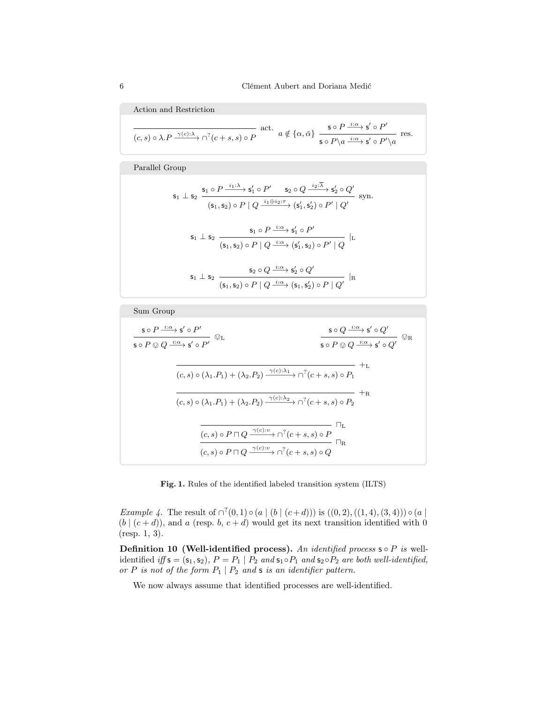Action and Restriction

$$
\overbrace{(c,s)\circ \lambda.P \xrightarrow{\gamma(c):\lambda} \cap^? (c+s,s)\circ P}^{\text{act.}} a \notin \{\alpha,\bar{\alpha}\}\ \frac{\text{so }P \xrightarrow{i:\alpha} \text{s}' \circ P'}{\text{s} \circ P \setminus a \xrightarrow{i:\alpha} \text{s}' \circ P' \setminus a} \text{res.}
$$

Parallel Group

$$
\mathsf{s}_1 \perp \mathsf{s}_2 \xrightarrow{\mathsf{s}_1 \circ P \xrightarrow{i_1:\lambda} \mathsf{s}_1' \circ P'} \mathsf{s}_2 \circ Q \xrightarrow{i_2:\overline{\lambda}} \mathsf{s}_2' \circ Q' \xrightarrow{\mathsf{s}_1 \vee \mathsf{s}_2} (\mathsf{s}_1, \mathsf{s}_2) \circ P \mid Q \xrightarrow{i_1 \oplus i_2:\tau} (\mathsf{s}_1', \mathsf{s}_2') \circ P' \mid Q' \xrightarrow{\mathsf{s}_1} \mathsf{s}_2
$$
\n
$$
\mathsf{s}_1 \perp \mathsf{s}_2 \xrightarrow{\mathsf{s}_1 \circ P \xrightarrow{i:\alpha} \mathsf{s}_1' \circ P'} (\mathsf{s}_1', \mathsf{s}_2) \circ P' \mid Q \mid \mathsf{L}
$$
\n
$$
\mathsf{s}_1 \perp \mathsf{s}_2 \xrightarrow{\mathsf{s}_2 \circ Q \xrightarrow{i:\alpha} \mathsf{s}_2' \circ Q'} (\mathsf{s}_1, \mathsf{s}_2) \circ P \mid Q \xrightarrow{i:\alpha} (\mathsf{s}_1, \mathsf{s}_2') \circ P \mid Q' \mid \mathsf{R}
$$

Sum Group

$$
\frac{\mathsf{s} \circ P \xrightarrow{\text{i}: \alpha} \mathsf{s}' \circ P'}{\mathsf{s} \circ P \otimes Q \xrightarrow{\text{i}: \alpha} \mathsf{s}' \circ Q'}
$$
\n
$$
\frac{\mathsf{s} \circ Q \xrightarrow{\text{i}: \alpha} \mathsf{s}' \circ Q'}{\mathsf{s} \circ P \otimes Q \xrightarrow{\text{i}: \alpha} \mathsf{s}' \circ Q'} \otimes_R
$$
\n
$$
\frac{\mathsf{s} \circ Q \xrightarrow{\text{i}: \alpha} \mathsf{s}' \circ Q'}{\mathsf{s} \circ P \otimes Q \xrightarrow{\text{i}: \alpha} \mathsf{s}' \circ Q'} \xrightarrow{\mathsf{f} \circ R} + \mathsf{L}
$$
\n
$$
\frac{\mathsf{f} \circ \mathsf{f} \circ \mathsf{f} \circ \mathsf{f} \circ \mathsf{f} \circ \mathsf{f} \circ \mathsf{f} \circ \mathsf{f} \circ \mathsf{f} \circ \mathsf{f} \circ \mathsf{f} \circ \mathsf{f} \circ \mathsf{f} \circ \mathsf{f} \circ \mathsf{f} \circ \mathsf{f} \circ \mathsf{f} \circ \mathsf{f} \circ \mathsf{f} \circ \mathsf{f} \circ \mathsf{f} \circ \mathsf{f} \circ \mathsf{f} \circ \mathsf{f} \circ \mathsf{f} \circ \mathsf{f} \circ \mathsf{f} \circ \mathsf{f} \circ \mathsf{f} \circ \mathsf{f} \circ \mathsf{f} \circ \mathsf{f} \circ \mathsf{f} \circ \mathsf{f} \circ \mathsf{f} \circ \mathsf{f} \circ \mathsf{f} \circ \mathsf{f} \circ \mathsf{f} \circ \mathsf{f} \circ \mathsf{f} \circ \mathsf{f} \circ \mathsf{f} \circ \mathsf{f} \circ \mathsf{f} \circ \mathsf{f} \circ \mathsf{f} \circ \mathsf{f} \circ \mathsf{f} \circ \mathsf{f} \circ \mathsf{f} \circ \mathsf{f} \circ \mathsf{f} \circ \mathsf{f} \circ \mathsf{f} \circ \mathsf{f} \circ \mathsf{f} \circ \mathsf{f} \circ \mathsf{f} \circ \mathsf{f} \circ \mathsf{f} \circ \mathsf{f} \circ \mathsf{f} \circ \mathsf{f} \circ \mathsf{f} \circ \mathsf{f} \circ
$$

<span id="page-5-0"></span>Fig. 1. Rules of the identified labeled transition system (ILTS)

*Example 4*. The result of  $\bigcap^2 (0,1) \circ (a \mid (b \mid (c+d)))$  is  $((0,2),((1,4),(3,4))) \circ (a \mid$  $(b \mid (c+d))$ , and a (resp. b,  $c+d$ ) would get its next transition identified with 0 (resp. 1, 3).

<span id="page-5-1"></span>Definition 10 (Well-identified process). An identified process  $s \circ P$  is wellidentified iff  $s = (s_1, s_2)$ ,  $P = P_1 | P_2$  and  $s_1 \circ P_1$  and  $s_2 \circ P_2$  are both well-identified, or P is not of the form  $P_1 | P_2$  and s is an identifier pattern.

We now always assume that identified processes are well-identified.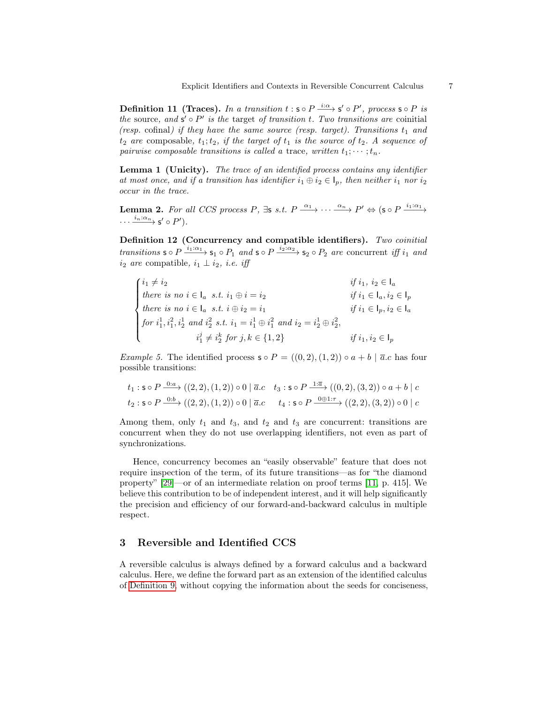Definition 11 (Traces). In a transition  $t : s \circ P \xrightarrow{i:\alpha} s' \circ P'$ , process  $s \circ P$  is the source, and  $s' \circ P'$  is the target of transition t. Two transitions are coinitial (resp. cofinal) if they have the same source (resp. target). Transitions  $t_1$  and  $t_2$  are composable,  $t_1$ ;  $t_2$ , if the target of  $t_1$  is the source of  $t_2$ . A sequence of pairwise composable transitions is called a trace, written  $t_1; \dots; t_n$ .

<span id="page-6-0"></span>Lemma 1 (Unicity). The trace of an identified process contains any identifier at most once, and if a transition has identifier  $i_1 \oplus i_2 \in I_p$ , then neither  $i_1$  nor  $i_2$ occur in the trace.

<span id="page-6-1"></span>**Lemma 2.** For all CCS process P,  $\exists s \ s.t. \ P \stackrel{\alpha_1}{\longrightarrow} \cdots \stackrel{\alpha_n}{\longrightarrow} P' \Leftrightarrow (s \circ P \stackrel{i_1:\alpha_1}{\longrightarrow})$  $\cdots \xrightarrow{i_n:\alpha_n} \mathsf{s}' \circ P'$ ).

<span id="page-6-2"></span>Definition 12 (Concurrency and compatible identifiers). Two coinitial transitions  $s \circ P \xrightarrow{i_1:\alpha_1} s_1 \circ P_1$  and  $s \circ P \xrightarrow{i_2:\alpha_2} s_2 \circ P_2$  are concurrent iff  $i_1$  and  $i_2$  are compatible,  $i_1 \perp i_2$ , *i.e.* iff

 $\sqrt{ }$  $\int$  $\mathbf{C}$  $i_1 \neq i_2$  if  $i_1, i_2 \in I_a$ there is no  $i \in I_a$  s.t.  $i_1 \oplus i = i_2$  if  $i_1 \in I_a, i_2 \in I_p$ there is no  $i \in I_a$  s.t.  $i \oplus i_2 = i_1$  if  $i_1 \in I_p, i_2 \in I_a$ for  $i_1^1, i_1^2, i_2^1$  and  $i_2^2$  s.t.  $i_1 = i_1^1 \oplus i_1^2$  and  $i_2 = i_2^1 \oplus i_2^2$ ,  $i_1^j \neq i_2^k \text{ for } j, k \in \{1, 2\}$  if  $i_1, i_2 \in I_p$ 

<span id="page-6-3"></span>Example 5. The identified process  $s \circ P = ((0, 2), (1, 2)) \circ a + b \mid \overline{a} \cdot c$  has four possible transitions:

$$
t_1 : \mathsf{s} \circ P \xrightarrow{0:a} ((2,2),(1,2)) \circ 0 \mid \overline{a}.c \quad t_3 : \mathsf{s} \circ P \xrightarrow{1:\overline{a}} ((0,2),(3,2)) \circ a + b \mid c
$$
  

$$
t_2 : \mathsf{s} \circ P \xrightarrow{0:b} ((2,2),(1,2)) \circ 0 \mid \overline{a}.c \quad t_4 : \mathsf{s} \circ P \xrightarrow{0 \oplus 1:\tau} ((2,2),(3,2)) \circ 0 \mid c
$$

Among them, only  $t_1$  and  $t_3$ , and  $t_2$  and  $t_3$  are concurrent: transitions are concurrent when they do not use overlapping identifiers, not even as part of synchronizations.

Hence, concurrency becomes an "easily observable" feature that does not require inspection of the term, of its future transitions—as for "the diamond property" [\[29\]](#page-17-13)—or of an intermediate relation on proof terms [\[11,](#page-16-9) p. 415]. We believe this contribution to be of independent interest, and it will help significantly the precision and efficiency of our forward-and-backward calculus in multiple respect.

# 3 Reversible and Identified CCS

A reversible calculus is always defined by a forward calculus and a backward calculus. Here, we define the forward part as an extension of the identified calculus of [Definition 9,](#page-4-0) without copying the information about the seeds for conciseness,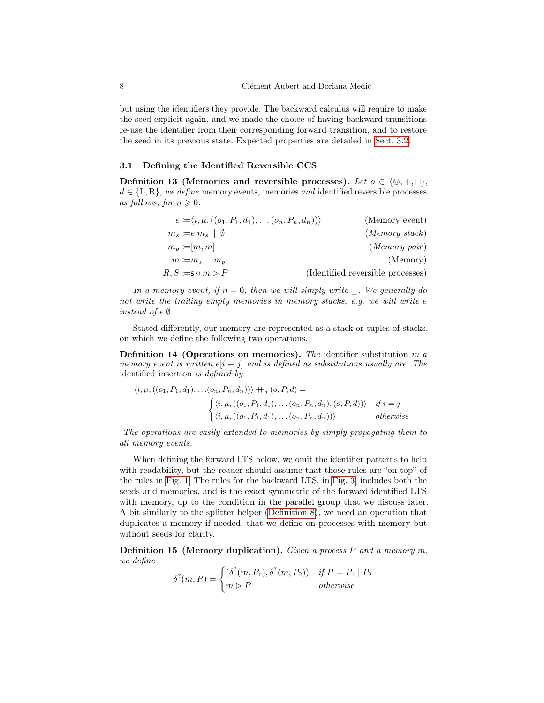but using the identifiers they provide. The backward calculus will require to make the seed explicit again, and we made the choice of having backward transitions re-use the identifier from their corresponding forward transition, and to restore the seed in its previous state. Expected properties are detailed in [Sect. 3.2.](#page-9-0)

#### 3.1 Defining the Identified Reversible CCS

<span id="page-7-0"></span>Definition 13 (Memories and reversible processes). Let  $o \in \{ \mathcal{Q}, +, \Box \}$ ,  $d \in \{L, R\}$ , we define memory events, memories and identified reversible processes as follows, for  $n \geq 0$ :

| $e \coloneqq \langle i, \mu, ((o_1, P_1, d_1), \ldots (o_n, P_n, d_n)) \rangle$ | (Memory event)                    |
|---------------------------------------------------------------------------------|-----------------------------------|
| $m_s := e.m_s \perp \emptyset$                                                  | (Memory stack)                    |
| $m_p \coloneqq [m, m]$                                                          | (Memory pair)                     |
| $m \coloneqq m_s \mid m_p$                                                      | (Memory)                          |
| $R, S \coloneqq s \circ m \rhd P$                                               | (Identified reversible processes) |
|                                                                                 |                                   |

In a memory event, if  $n = 0$ , then we will simply write. We generally do not write the trailing empty memories in memory stacks, e.g. we will write e instead of e.∅.

Stated differently, our memory are represented as a stack or tuples of stacks, on which we define the following two operations.

<span id="page-7-1"></span>**Definition 14 (Operations on memories).** The identifier substitution in a memory event is written  $e[i \leftarrow j]$  and is defined as substitutions usually are. The identified insertion is defined by

$$
\langle i, \mu, ((o_1, P_1, d_1), \dots (o_n, P_n, d_n)) \rangle +_j (o, P, d) =
$$
  

$$
\begin{cases} \langle i, \mu, ((o_1, P_1, d_1), \dots (o_n, P_n, d_n), (o, P, d)) \rangle & \text{if } i = j \\ \langle i, \mu, ((o_1, P_1, d_1), \dots (o_n, P_n, d_n)) \rangle & \text{otherwise} \end{cases}
$$

The operations are easily extended to memories by simply propagating them to all memory events.

When defining the forward LTS below, we omit the identifier patterns to help with readability, but the reader should assume that those rules are "on top" of the rules in [Fig. 1.](#page-5-0) The rules for the backward LTS, in [Fig. 3,](#page-10-0) includes both the seeds and memories, and is the exact symmetric of the forward identified LTS with memory, up to the condition in the parallel group that we discuss later. A bit similarly to the splitter helper [\(Definition 8\)](#page-4-1), we need an operation that duplicates a memory if needed, that we define on processes with memory but without seeds for clarity.

<span id="page-7-2"></span>**Definition 15 (Memory duplication).** Given a process  $P$  and a memory  $m$ , we define

$$
\delta^? (m, P) = \begin{cases}\n(\delta^? (m, P_1), \delta^? (m, P_2)) & \text{if } P = P_1 \mid P_2 \\
m \rhd P & \text{otherwise}\n\end{cases}
$$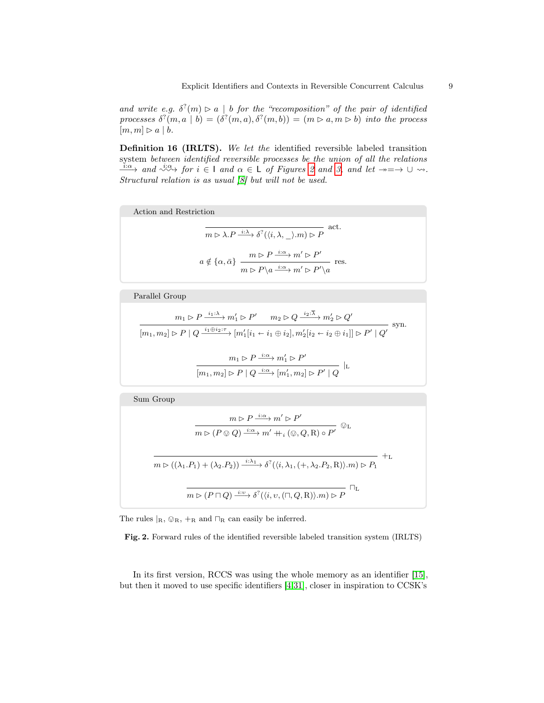and write e.g.  $\delta^2(m) \triangleright a \mid b$  for the "recomposition" of the pair of identified processes  $\delta^2(m, a | b) = (\delta^2(m, a), \delta^2(m, b)) = (m \triangleright a, m \triangleright b)$  into the process  $[m, m] \triangleright a \mid b.$ 

Definition 16 (IRLTS). We let the identified reversible labeled transition system between identified reversible processes be the union of all the relations  $\overrightarrow{i:\alpha}$  and  $\overrightarrow{\rightsquigarrow}$  for  $i \in I$  and  $\alpha \in L$  of Figures [2](#page-8-0) and [3,](#page-10-0) and let  $\rightarrow = \rightarrow \cup \rightarrow$ . Structural relation is as usual [\[8\]](#page-15-5) but will not be used.

Action and Restriction

$$
m \triangleright \lambda.P \xrightarrow{i:\lambda} \delta^{?}(\langle i, \lambda, \_) \cdot m) \triangleright P \text{ act.}
$$

$$
a \notin \{\alpha, \bar{\alpha}\} \xrightarrow[m \triangleright P \setminus a \xrightarrow{i:\alpha} m' \triangleright P' \setminus a \text{ res.}
$$

Parallel Group

$$
\frac{m_1 \rhd P \xrightarrow{i_1:\lambda} m_1' \rhd P' \qquad m_2 \rhd Q \xrightarrow{i_2:\overline{\lambda}} m_2' \rhd Q'}{[m_1, m_2] \rhd P \mid Q \xrightarrow{i_1 \oplus i_2:\tau} [m_1'[i_1 \leftarrow i_1 \oplus i_2], m_2'[i_2 \leftarrow i_2 \oplus i_1]] \rhd P' \mid Q'}
$$
syn.  

$$
\frac{m_1 \rhd P \xrightarrow{i:\alpha} m_1' \rhd P'}{[m_1, m_2] \rhd P \mid Q \xrightarrow{i:\alpha} [m_1', m_2] \rhd P' \mid Q} |_{\mathcal{L}}
$$

Sum Group

$$
m \triangleright P \xrightarrow{\text{in}} m' \triangleright P'
$$
  
\n
$$
m \triangleright (P \oslash Q) \xrightarrow{\text{in}} m' + i (\oslash, Q, R) \circ P' \oslash L
$$
  
\n
$$
m \triangleright ((\lambda_1.P_1) + (\lambda_2.P_2)) \xrightarrow{\text{in}} \delta^? (\langle i, \lambda_1, (+, \lambda_2.P_2, R) \rangle.m) \triangleright P_1
$$
+  
\n
$$
m \triangleright (P \sqcap Q) \xrightarrow{\text{in}} \delta^? (\langle i, v, (\sqcap, Q, R) \rangle.m) \triangleright P \sqcap
$$
L

The rules  $|_R$ ,  $\mathbb{Q}_R$ ,  $+_R$  and  $\sqcap_R$  can easily be inferred.

<span id="page-8-0"></span>Fig. 2. Forward rules of the identified reversible labeled transition system (IRLTS)

In its first version, RCCS was using the whole memory as an identifier [\[15\]](#page-16-2), but then it moved to use specific identifiers [\[4,](#page-15-6)[31\]](#page-17-14), closer in inspiration to CCSK's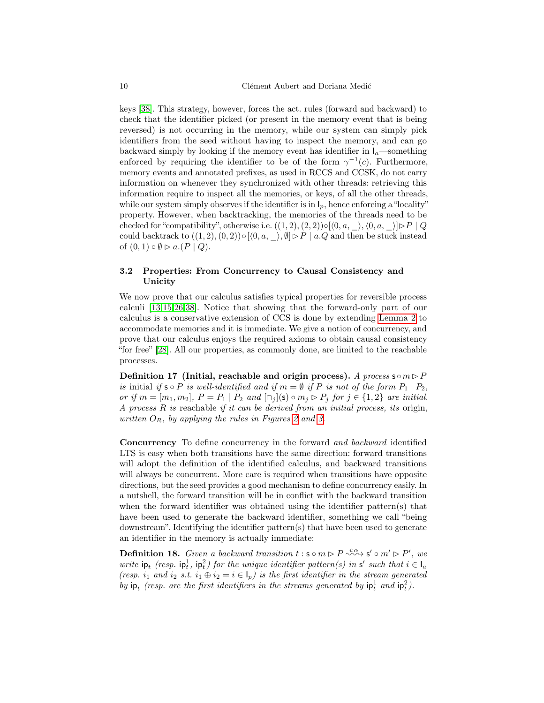keys [\[38\]](#page-17-5). This strategy, however, forces the act. rules (forward and backward) to check that the identifier picked (or present in the memory event that is being reversed) is not occurring in the memory, while our system can simply pick identifiers from the seed without having to inspect the memory, and can go backward simply by looking if the memory event has identifier in  $I_a$ —something enforced by requiring the identifier to be of the form  $\gamma^{-1}(c)$ . Furthermore, memory events and annotated prefixes, as used in RCCS and CCSK, do not carry information on whenever they synchronized with other threads: retrieving this information require to inspect all the memories, or keys, of all the other threads, while our system simply observes if the identifier is in  $I_p$ , hence enforcing a "locality" property. However, when backtracking, the memories of the threads need to be checked for "compatibility", otherwise i.e.  $((1, 2), (2, 2)) \circ [(0, a, \_), (0, a, \_)] \triangleright P \mid Q$ could backtrack to  $((1, 2), (0, 2)) \circ [(0, a, \_), \emptyset] \rhd P \mid a.Q$  and then be stuck instead of  $(0, 1) \circ \emptyset \triangleright a.(P \mid Q)$ .

# <span id="page-9-0"></span>3.2 Properties: From Concurrency to Causal Consistency and **Unicity**

We now prove that our calculus satisfies typical properties for reversible process calculi [\[13,](#page-16-10)[15](#page-16-2)[,26](#page-16-11)[,38\]](#page-17-5). Notice that showing that the forward-only part of our calculus is a conservative extension of CCS is done by extending [Lemma 2](#page-6-1) to accommodate memories and it is immediate. We give a notion of concurrency, and prove that our calculus enjoys the required axioms to obtain causal consistency "for free" [\[28\]](#page-17-15). All our properties, as commonly done, are limited to the reachable processes.

<span id="page-9-1"></span>Definition 17 (Initial, reachable and origin process). A process s  $\circ$  m  $\triangleright$  P is initial if  $s \circ P$  is well-identified and if  $m = \emptyset$  if P is not of the form  $P_1 \mid P_2$ , or if  $m = [m_1, m_2]$ ,  $P = P_1 | P_2$  and  $[\cap_j]$ (s)  $\circ m_j \triangleright P_j$  for  $j \in \{1, 2\}$  are initial. A process  $R$  is reachable if it can be derived from an initial process, its origin, written  $O_R$ , by applying the rules in Figures [2](#page-8-0) and [3.](#page-10-0)

Concurrency To define concurrency in the forward and backward identified LTS is easy when both transitions have the same direction: forward transitions will adopt the definition of the identified calculus, and backward transitions will always be concurrent. More care is required when transitions have opposite directions, but the seed provides a good mechanism to define concurrency easily. In a nutshell, the forward transition will be in conflict with the backward transition when the forward identifier was obtained using the identifier pattern(s) that have been used to generate the backward identifier, something we call "being downstream". Identifying the identifier pattern(s) that have been used to generate an identifier in the memory is actually immediate:

**Definition 18.** Given a backward transition  $t : s \circ m \triangleright P \stackrel{\text{i}:a}{\leftrightarrow} s' \circ m' \triangleright P'$ , we write  $\mathsf{ip}_t$  (resp.  $\mathsf{ip}_t^1$ ,  $\mathsf{ip}_t^2$ ) for the unique identifier pattern(s) in  $\mathsf{s}'$  such that  $i \in \mathsf{l}_a$ (resp. i<sub>1</sub> and i<sub>2</sub> s.t. i<sub>1</sub>  $\oplus$  i<sub>2</sub> = i  $\in$  l<sub>p</sub>) is the first identifier in the stream generated by  $ip_t$  (resp. are the first identifiers in the streams generated by  $ip_t^1$  and  $ip_t^2$ ).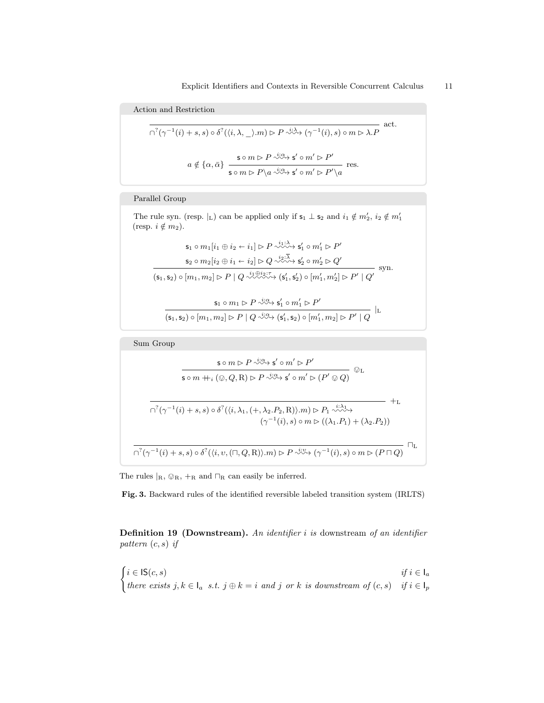Action and Restriction

$$
\overline{\bigcap^{2}(\gamma^{-1}(i) + s, s) \circ \delta^{2}(\langle i, \lambda, \_\rangle.m) \rhd P \stackrel{i:\lambda}{\leadsto} (\gamma^{-1}(i), s) \circ m \rhd \lambda.P}
$$
act.  

$$
a \notin \{\alpha, \bar{\alpha}\} \xrightarrow{\mathbf{s} \circ m \rhd P \stackrel{i:\alpha}{\leadsto} \mathbf{s}' \circ m' \rhd P'}_{\mathbf{s} \circ m \rhd P \langle a \stackrel{i:\alpha}{\leadsto} \mathbf{s}' \circ m' \rhd P' \rangle a}
$$
res.

Parallel Group

The rule syn. (resp. |L) can be applied only if  $s_1 \perp s_2$  and  $i_1 \notin m'_2$ ,  $i_2 \notin m'_1$ (resp.  $i \notin m_2$ ).

$$
s_{1} \circ m_{1}[i_{1} \oplus i_{2} \leftarrow i_{1}] \rhd P \xrightarrow{i_{1}:\lambda \to} s'_{1} \circ m'_{1} \rhd P'
$$
  
\n
$$
s_{2} \circ m_{2}[i_{2} \oplus i_{1} \leftarrow i_{2}] \rhd Q \xrightarrow{i_{2}:\lambda \to} s'_{2} \circ m'_{2} \rhd Q'
$$
  
\n
$$
(s_{1}, s_{2}) \circ [m_{1}, m_{2}] \rhd P | Q \xrightarrow{\lambda_{1} \oplus i_{2}:\tau} (s'_{1}, s'_{2}) \circ [m'_{1}, m'_{2}] \rhd P' | Q'
$$
  
\n
$$
s_{1} \circ m_{1} \rhd P \xrightarrow{i_{1}:\alpha} s'_{1} \circ m'_{1} \rhd P'
$$
  
\n
$$
(s_{1}, s_{2}) \circ [m_{1}, m_{2}] \rhd P | Q \xrightarrow{i_{1}:\alpha} (s'_{1}, s_{2}) \circ [m'_{1}, m_{2}] \rhd P' | Q
$$
\n
$$
\rhd [L]
$$

Sum Group

$$
s \circ m \triangleright P \stackrel{i:\alpha}{\leadsto} s' \circ m' \triangleright P'
$$
  
\n
$$
s \circ m +_{i} (\mathcal{D}, Q, R) \triangleright P \stackrel{i:\alpha}{\leadsto} s' \circ m' \triangleright (P' \mathcal{D}, Q)
$$
  
\n
$$
\overbrace{\bigcap^{?} (\gamma^{-1}(i) + s, s) \circ \delta^{?}(\langle i, \lambda_{1}, (+, \lambda_{2}.P_{2}, R) \rangle.m) \triangleright P_{1} \stackrel{i:\lambda_{1}}{\leadsto} \rightarrow}^{i:\lambda_{1}} + L
$$
  
\n
$$
(\gamma^{-1}(i), s) \circ m \triangleright ((\lambda_{1}.P_{1}) + (\lambda_{2}.P_{2}))
$$
  
\n
$$
\overbrace{\bigcap^{?} (\gamma^{-1}(i) + s, s) \circ \delta^{?}(\langle i, \nu, (\square, Q, R) \rangle.m) \triangleright P \stackrel{i:\nu}{\leadsto} (\gamma^{-1}(i), s) \circ m \triangleright (P \square Q)}^{\square_{1}} \square_{L}
$$

The rules  $|_R$ ,  $\mathbb{Q}_R$ ,  $+$ <sub>R</sub> and  $\sqcap_R$  can easily be inferred.

<span id="page-10-0"></span>Fig. 3. Backward rules of the identified reversible labeled transition system (IRLTS)

**Definition 19 (Downstream).** An identifier  $i$  is downstream of an identifier pattern  $(c, s)$  if

 $i \in \mathsf{IS}(c, s)$  if  $i \in \mathsf{I}_a$ there exists  $j, k \in I_a$  s.t.  $j \oplus k = i$  and j or k is downstream of  $(c, s)$  if  $i \in I_p$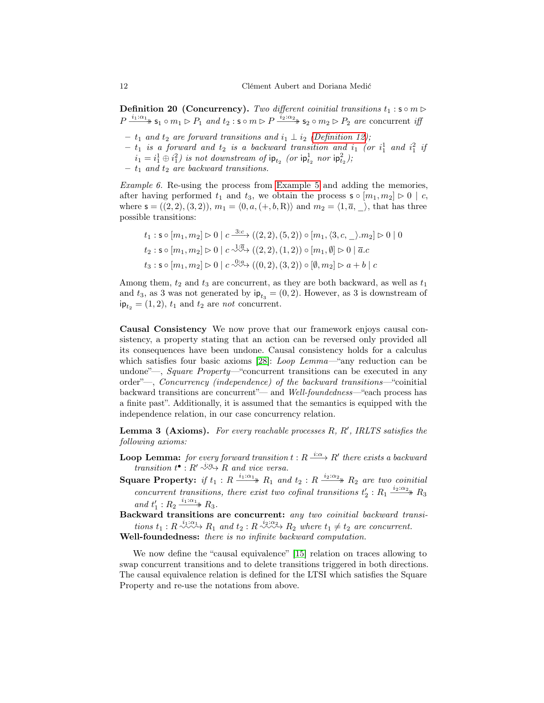**Definition 20 (Concurrency).** Two different coinitial transitions  $t_1 : s \circ m$  $P \xrightarrow{i_1:\alpha_1} \mathbf{s}_1 \circ m_1 \triangleright P_1$  and  $t_2: \mathbf{s} \circ m \triangleright P \xrightarrow{i_2:\alpha_2} \mathbf{s}_2 \circ m_2 \triangleright P_2$  are concurrent iff

- $t_1$  and  $t_2$  are forward transitions and  $i_1$  ⊥  $i_2$  [\(Definition 12\)](#page-6-2);
- $t_1$  is a forward and  $t_2$  is a backward transition and  $i_1$  (or  $i_1^1$  and  $i_1^2$  if
- $i_1 = i_1^1 \oplus i_1^2$ ) is not downstream of  $ip_{t_2}$  (or  $ip_{t_2}^1$  nor  $ip_{t_2}^2$ );
- $t_1$  and  $t_2$  are backward transitions.

Example 6. Re-using the process from [Example 5](#page-6-3) and adding the memories, after having performed  $t_1$  and  $t_3$ , we obtain the process  $s \circ [m_1, m_2] \geq 0 \mid c$ , where  $s = ((2, 2), (3, 2)), m_1 = (0, a, (+, b, R))$  and  $m_2 = (1, \overline{a}, )$ , that has three possible transitions:

$$
t_1 : \mathsf{s} \circ [m_1, m_2] \rhd 0 \mid c \xrightarrow{3:c} ((2, 2), (5, 2)) \circ [m_1, \langle 3, c, \_ \rangle.m_2] \rhd 0 \mid 0
$$
  

$$
t_2 : \mathsf{s} \circ [m_1, m_2] \rhd 0 \mid c \xrightarrow{\sqrt{c} \cdot \alpha} ((2, 2), (1, 2)) \circ [m_1, \emptyset] \rhd 0 \mid \overline{a}.c
$$
  

$$
t_3 : \mathsf{s} \circ [m_1, m_2] \rhd 0 \mid c \xrightarrow{\mathbb{Q}: \alpha} ((0, 2), (3, 2)) \circ [\emptyset, m_2] \rhd a + b \mid c
$$

Among them,  $t_2$  and  $t_3$  are concurrent, as they are both backward, as well as  $t_1$ and  $t_3$ , as 3 was not generated by  $ip_{t_3} = (0, 2)$ . However, as 3 is downstream of  $ip_{t_2} = (1, 2), t_1$  and  $t_2$  are not concurrent.

Causal Consistency We now prove that our framework enjoys causal consistency, a property stating that an action can be reversed only provided all its consequences have been undone. Causal consistency holds for a calculus which satisfies four basic axioms [\[28\]](#page-17-15): *Loop Lemma*—"any reduction can be undone"—, *Square Property*—"concurrent transitions can be executed in any order"—, Concurrency (independence) of the backward transitions—"coinitial backward transitions are concurrent"— and Well-foundedness—"each process has a finite past". Additionally, it is assumed that the semantics is equipped with the independence relation, in our case concurrency relation.

**Lemma 3 (Axioms).** For every reachable processes  $R, R', IRLTS$  satisfies the following axioms:

- **Loop Lemma:** for every forward transition  $t : R \xrightarrow{i:\alpha} R'$  there exists a backward transition  $t^{\bullet}: R' \stackrel{\text{i}: \alpha}{\sim} R$  and vice versa.
- Square Property: if  $t_1 : R \xrightarrow{i_1:\alpha_1} R_1$  and  $t_2 : R \xrightarrow{i_2:\alpha_2} R_2$  are two coinitial concurrent transitions, there exist two cofinal transitions  $t'_2: R_1 \xrightarrow{i_2:\alpha_2} R_3$ and  $t'_1: R_2 \xrightarrow{i_1:\alpha_1} R_3$ .

Backward transitions are concurrent: any two coinitial backward transitions  $t_1: R \stackrel{i_1:\alpha_1}{\sim} R_1$  and  $t_2: R \stackrel{i_2:\alpha_2}{\sim} R_2$  where  $t_1 \neq t_2$  are concurrent. Well-foundedness: there is no infinite backward computation.

We now define the "causal equivalence" [\[15\]](#page-16-2) relation on traces allowing to swap concurrent transitions and to delete transitions triggered in both directions. The causal equivalence relation is defined for the LTSI which satisfies the Square Property and re-use the notations from above.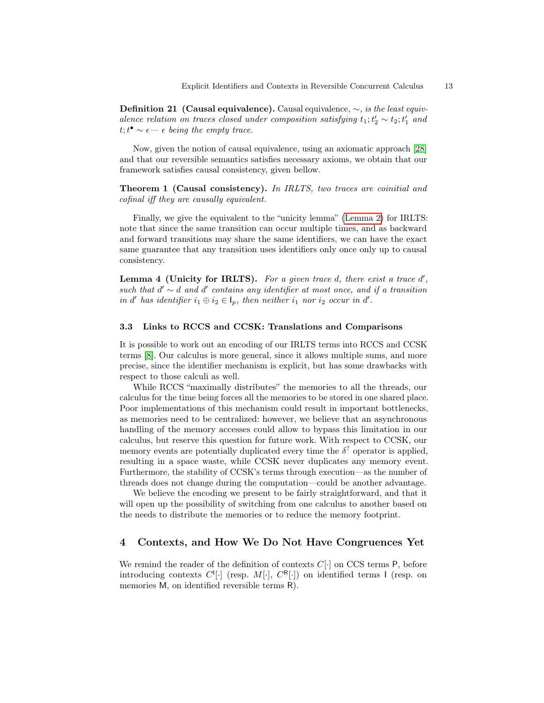**Definition 21 (Causal equivalence).** Causal equivalence,  $\sim$ , is the least equivalence relation on traces closed under composition satisfying  $t_1$ ;  $t'_2 \sim t_2$ ;  $t'_1$  and  $t; t^{\bullet} \sim \epsilon \rightarrow \epsilon$  being the empty trace.

Now, given the notion of causal equivalence, using an axiomatic approach [\[28\]](#page-17-15) and that our reversible semantics satisfies necessary axioms, we obtain that our framework satisfies causal consistency, given bellow.

Theorem 1 (Causal consistency). In IRLTS, two traces are coinitial and cofinal iff they are causally equivalent.

Finally, we give the equivalent to the "unicity lemma" [\(Lemma 2\)](#page-6-1) for IRLTS: note that since the same transition can occur multiple times, and as backward and forward transitions may share the same identifiers, we can have the exact same guarantee that any transition uses identifiers only once only up to causal consistency.

Lemma 4 (Unicity for IRLTS). For a given trace  $d$ , there exist a trace  $d'$ , such that  $d' \sim d$  and  $d'$  contains any identifier at most once, and if a transition in d' has identifier  $i_1 \oplus i_2 \in I_p$ , then neither  $i_1$  nor  $i_2$  occur in d'.

### <span id="page-12-0"></span>3.3 Links to RCCS and CCSK: Translations and Comparisons

It is possible to work out an encoding of our IRLTS terms into RCCS and CCSK terms [\[8\]](#page-15-5). Our calculus is more general, since it allows multiple sums, and more precise, since the identifier mechanism is explicit, but has some drawbacks with respect to those calculi as well.

While RCCS "maximally distributes" the memories to all the threads, our calculus for the time being forces all the memories to be stored in one shared place. Poor implementations of this mechanism could result in important bottlenecks, as memories need to be centralized: however, we believe that an asynchronous handling of the memory accesses could allow to bypass this limitation in our calculus, but reserve this question for future work. With respect to CCSK, our memory events are potentially duplicated every time the  $\delta^?$  operator is applied, resulting in a space waste, while CCSK never duplicates any memory event. Furthermore, the stability of CCSK's terms through execution—as the number of threads does not change during the computation—could be another advantage.

We believe the encoding we present to be fairly straightforward, and that it will open up the possibility of switching from one calculus to another based on the needs to distribute the memories or to reduce the memory footprint.

### 4 Contexts, and How We Do Not Have Congruences Yet

We remind the reader of the definition of contexts  $C[\cdot]$  on CCS terms P, before introducing contexts  $C^{\text{I}}[\cdot]$  (resp.  $M[\cdot], C^{\text{R}}[\cdot]$ ) on identified terms I (resp. on memories M, on identified reversible terms R).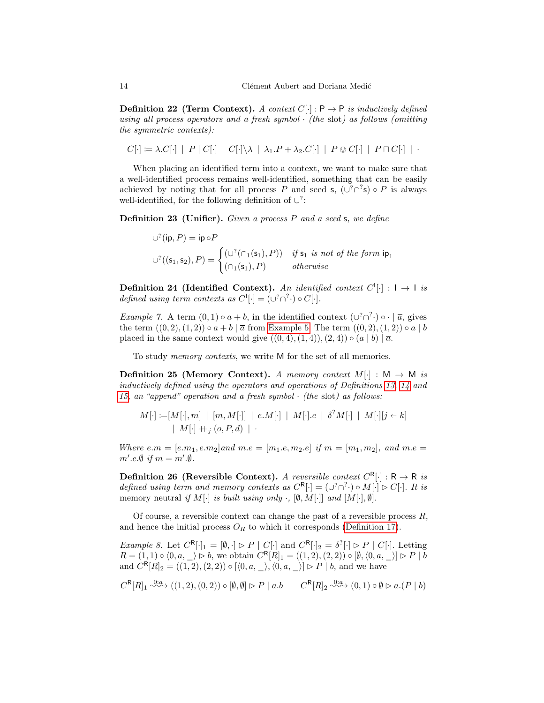**Definition 22 (Term Context).** A context  $C[\cdot] : P \rightarrow P$  is inductively defined using all process operators and a fresh symbol  $\cdot$  (the slot) as follows (omitting the symmetric contexts):

$$
C[\cdot] \coloneqq \lambda.C[\cdot] | P | C[\cdot] | C[\cdot] \setminus \lambda | \lambda_1.P + \lambda_2.C[\cdot] | P \otimes C[\cdot] | P \cap C[\cdot] | \cdot
$$

When placing an identified term into a context, we want to make sure that a well-identified process remains well-identified, something that can be easily achieved by noting that for all process P and seed s,  $(\cup^? \cap^? s) \circ P$  is always well-identified, for the following definition of ∪?:

**Definition 23 (Unifier).** Given a process  $P$  and a seed  $s$ , we define

$$
\bigcup^{?}(\mathsf{ip},P) = \mathsf{ip} \circ P
$$
  

$$
\bigcup^{?}((\mathsf{s}_1,\mathsf{s}_2),P) = \begin{cases} (\bigcup^{?}(\bigcap_1(\mathsf{s}_1),P)) & \text{if } \mathsf{s}_1 \text{ is not of the form } \mathsf{ip}_1 \\ (\bigcap_1(\mathsf{s}_1),P) & \text{otherwise} \end{cases}
$$

Definition 24 (Identified Context). An identified context  $C^{\vert}[\cdot] : I \to I$  is defined using term contexts as  $C^{\vert}[\cdot] = (\cup^? \cap^? \cdot) \circ C[\cdot].$ 

*Example 7.* A term  $(0, 1) \circ a + b$ , in the identified context  $(\cup^2 \cap^2 \cdot) \circ \cdot \mid \overline{a}$ , gives the term  $((0, 2), (1, 2)) \circ a + b \mid \overline{a}$  from [Example 5.](#page-6-3) The term  $((0, 2), (1, 2)) \circ a \mid b$ placed in the same context would give  $((0, 4), (1, 4)), (2, 4)) \circ (a \mid b) \mid \overline{a}$ .

To study memory contexts, we write M for the set of all memories.

**Definition 25 (Memory Context).** A memory context  $M[\cdot] : M \rightarrow M$  is inductively defined using the operators and operations of Definitions [13,](#page-7-0) [14](#page-7-1) and [15,](#page-7-2) an "append" operation and a fresh symbol  $\cdot$  (the slot) as follows:

$$
M[\cdot] := [M[\cdot], m] \mid [m, M[\cdot]] \mid e.M[\cdot] \mid M[\cdot].e \mid \delta^? M[\cdot] \mid M[\cdot][j \leftarrow k]
$$
  
 
$$
\mid M[\cdot] +_{j} (o, P, d) \mid \cdot
$$

Where  $e.m = [e.m_1, e.m_2]$  and  $m.e = [m_1.e, m_2.e]$  if  $m = [m_1, m_2]$ , and  $m.e =$  $m'.e.\emptyset \text{ if } m = m'.\emptyset.$ 

**Definition 26 (Reversible Context).** A reversible context  $C^{\mathsf{R}}[\cdot] : \mathsf{R} \to \mathsf{R}$  is defined using term and memory contexts as  $C^{R}[\cdot] = (\cup^{?} \cap^{?} \cdot) \circ M[\cdot] \triangleright C[\cdot]$ . It is memory neutral if  $M[\cdot]$  is built using only  $\cdot$ ,  $[\emptyset, M[\cdot]]$  and  $[M[\cdot], \emptyset]$ .

Of course, a reversible context can change the past of a reversible process  $R$ , and hence the initial process  $O_R$  to which it corresponds [\(Definition 17\)](#page-9-1).

Example 8. Let  $C^{R}[\cdot]_1 = [\emptyset, \cdot] \triangleright P \mid C[\cdot]$  and  $C^{R}[\cdot]_2 = \delta^{?}[\cdot] \triangleright P \mid C[\cdot]$ . Letting  $R = (1, 1) \circ \langle 0, a, \_ \rangle \triangleright b$ , we obtain  $C^{R}[R]_1 = ((1, 2), (2, 2)) \circ [\emptyset, \langle 0, a, \_ \rangle] \triangleright P | b$ <br>and  $C^{R}[R]_2 = ((1, 2), (2, 2)) \circ [\langle 0, a, \_ \rangle, \langle 0, a, \_ \rangle] \triangleright P | b$ , and we have

$$
C^{R}[R]_1 \stackrel{Q: a}{\sim} (\langle 1, 2), (0, 2) \rangle \circ [\emptyset, \emptyset] \rhd P \mid a.b \qquad C^{R}[R]_2 \stackrel{Q: a}{\sim} (\langle 0, 1) \circ \emptyset \rhd a.(P \mid b)
$$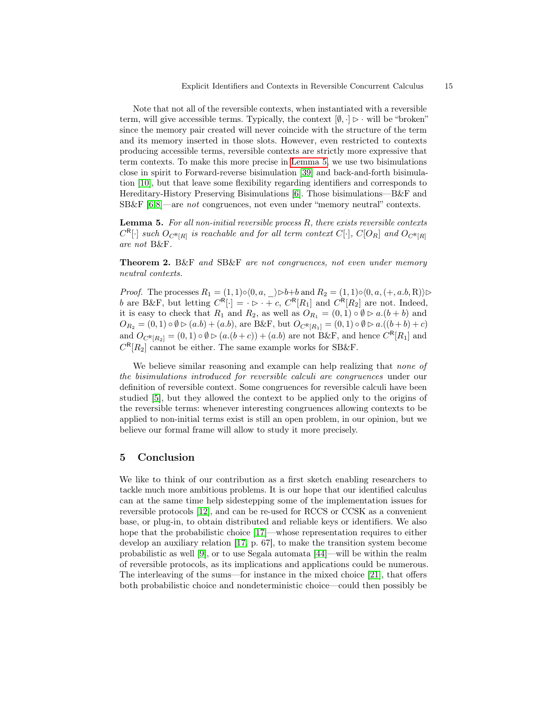Note that not all of the reversible contexts, when instantiated with a reversible term, will give accessible terms. Typically, the context  $[\emptyset, \cdot] \triangleright \cdot$  will be "broken" since the memory pair created will never coincide with the structure of the term and its memory inserted in those slots. However, even restricted to contexts producing accessible terms, reversible contexts are strictly more expressive that term contexts. To make this more precise in [Lemma 5,](#page-14-0) we use two bisimulations close in spirit to Forward-reverse bisimulation [\[39\]](#page-17-16) and back-and-forth bisimulation [\[10\]](#page-15-7), but that leave some flexibility regarding identifiers and corresponds to Hereditary-History Preserving Bisimulations [\[6\]](#page-15-8). Those bisimulations—B&F and SB&F [\[6](#page-15-8)[,8\]](#page-15-5)—are not congruences, not even under "memory neutral" contexts.

<span id="page-14-0"></span>**Lemma 5.** For all non-initial reversible process  $R$ , there exists reversible contexts  $C^{\mathsf{R}}[\cdot]$  such  $O_{C^{\mathsf{R}}[R]}$  is reachable and for all term context  $C[\cdot]$ ,  $C[O_R]$  and  $O_{C^{\mathsf{R}}[R]}$ are not B&F.

Theorem 2. B&F and SB&F are not congruences, not even under memory neutral contexts.

*Proof.* The processes  $R_1 = (1, 1) \circ (0, a, \_) \rhd b + b$  and  $R_2 = (1, 1) \circ (0, a, (+, a.b, R)) \rhd$ b are B&F, but letting  $C^{R}[\cdot] = \cdot \triangleright + c$ ,  $C^{R}[R_1]$  and  $C^{R}[R_2]$  are not. Indeed, it is easy to check that  $R_1$  and  $R_2$ , as well as  $O_{R_1} = (0,1) \circ \emptyset \triangleright a.(b+b)$  and  $O_{R_2} = (0, 1) \circ \emptyset \triangleright (a.b) + (a.b),$  are B&F, but  $O_{C^{R}[R_1]} = (0, 1) \circ \emptyset \triangleright a.(b + b) + c)$ and  $O_{\mathbb{C}^{\mathbb{R}}[R_2]} = (0,1) \circ \emptyset \triangleright (a.(b+c)) + (a.b)$  are not B&F, and hence  $\mathbb{C}^{\mathbb{R}}[R_1]$  and  $C^{R}[R_2]$  cannot be either. The same example works for SB&F.

We believe similar reasoning and example can help realizing that *none* of the bisimulations introduced for reversible calculi are congruences under our definition of reversible context. Some congruences for reversible calculi have been studied [\[5\]](#page-15-2), but they allowed the context to be applied only to the origins of the reversible terms: whenever interesting congruences allowing contexts to be applied to non-initial terms exist is still an open problem, in our opinion, but we believe our formal frame will allow to study it more precisely.

### 5 Conclusion

We like to think of our contribution as a first sketch enabling researchers to tackle much more ambitious problems. It is our hope that our identified calculus can at the same time help sidestepping some of the implementation issues for reversible protocols [\[12\]](#page-16-12), and can be re-used for RCCS or CCSK as a convenient base, or plug-in, to obtain distributed and reliable keys or identifiers. We also hope that the probabilistic choice [\[17\]](#page-16-13)—whose representation requires to either develop an auxiliary relation [\[17,](#page-16-13) p. 67], to make the transition system become probabilistic as well [\[9\]](#page-15-9), or to use Segala automata [\[44\]](#page-17-10)—will be within the realm of reversible protocols, as its implications and applications could be numerous. The interleaving of the sums—for instance in the mixed choice [\[21\]](#page-16-14), that offers both probabilistic choice and nondeterministic choice—could then possibly be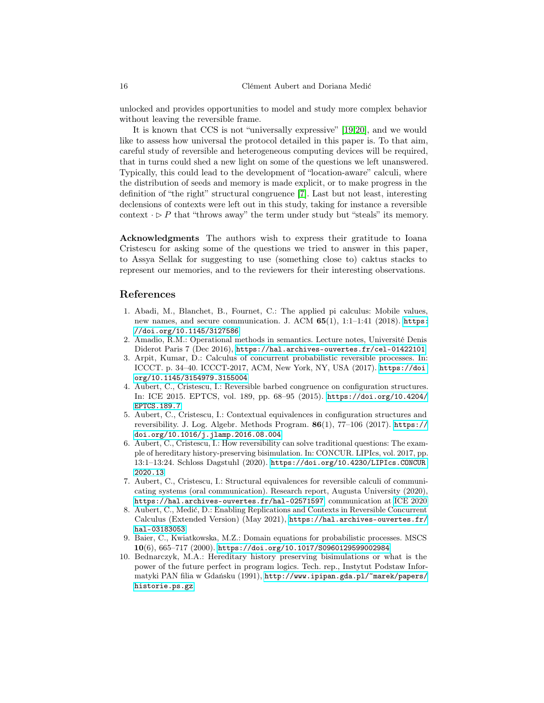unlocked and provides opportunities to model and study more complex behavior without leaving the reversible frame.

It is known that CCS is not "universally expressive" [\[19](#page-16-15)[,20\]](#page-16-16), and we would like to assess how universal the protocol detailed in this paper is. To that aim, careful study of reversible and heterogeneous computing devices will be required, that in turns could shed a new light on some of the questions we left unanswered. Typically, this could lead to the development of "location-aware" calculi, where the distribution of seeds and memory is made explicit, or to make progress in the definition of "the right" structural congruence [\[7\]](#page-15-4). Last but not least, interesting declensions of contexts were left out in this study, taking for instance a reversible context  $\cdot$   $\triangleright$  P that "throws away" the term under study but "steals" its memory.

Acknowledgments The authors wish to express their gratitude to Ioana Cristescu for asking some of the questions we tried to answer in this paper, to Assya Sellak for suggesting to use (something close to) caktus stacks to represent our memories, and to the reviewers for their interesting observations.

### References

- <span id="page-15-0"></span>1. Abadi, M., Blanchet, B., Fournet, C.: The applied pi calculus: Mobile values, new names, and secure communication. J. ACM  $65(1)$ , 1:1-1:41 (2018). [https:](https://doi.org/10.1145/3127586) [//doi.org/10.1145/3127586](https://doi.org/10.1145/3127586)
- <span id="page-15-3"></span>2. Amadio, R.M.: Operational methods in semantics. Lecture notes, Université Denis Diderot Paris 7 (Dec 2016), <https://hal.archives-ouvertes.fr/cel-01422101>
- <span id="page-15-1"></span>3. Arpit, Kumar, D.: Calculus of concurrent probabilistic reversible processes. In: ICCCT. p. 34–40. ICCCT-2017, ACM, New York, NY, USA (2017). [https://doi.](https://doi.org/10.1145/3154979.3155004) [org/10.1145/3154979.3155004](https://doi.org/10.1145/3154979.3155004)
- <span id="page-15-6"></span>4. Aubert, C., Cristescu, I.: Reversible barbed congruence on configuration structures. In: ICE 2015. EPTCS, vol. 189, pp. 68–95 (2015). [https://doi.org/10.4204/](https://doi.org/10.4204/EPTCS.189.7) [EPTCS.189.7](https://doi.org/10.4204/EPTCS.189.7)
- <span id="page-15-2"></span>5. Aubert, C., Cristescu, I.: Contextual equivalences in configuration structures and reversibility. J. Log. Algebr. Methods Program. 86(1), 77–106 (2017). [https://](https://doi.org/10.1016/j.jlamp.2016.08.004) [doi.org/10.1016/j.jlamp.2016.08.004](https://doi.org/10.1016/j.jlamp.2016.08.004)
- <span id="page-15-8"></span>6. Aubert, C., Cristescu, I.: How reversibility can solve traditional questions: The example of hereditary history-preserving bisimulation. In: CONCUR. LIPIcs, vol. 2017, pp. 13:1–13:24. Schloss Dagstuhl (2020). [https://doi.org/10.4230/LIPIcs.CONCUR.](https://doi.org/10.4230/LIPIcs.CONCUR.2020.13) [2020.13](https://doi.org/10.4230/LIPIcs.CONCUR.2020.13)
- <span id="page-15-4"></span>7. Aubert, C., Cristescu, I.: Structural equivalences for reversible calculi of communicating systems (oral communication). Research report, Augusta University (2020), <https://hal.archives-ouvertes.fr/hal-02571597>, communication at [ICE 2020](http://www.discotec.org/2020/ice.html)
- <span id="page-15-5"></span>8. Aubert, C., Medić, D.: Enabling Replications and Contexts in Reversible Concurrent Calculus (Extended Version) (May 2021), [https://hal.archives-ouvertes.fr/](https://hal.archives-ouvertes.fr/hal-03183053) [hal-03183053](https://hal.archives-ouvertes.fr/hal-03183053)
- <span id="page-15-9"></span>9. Baier, C., Kwiatkowska, M.Z.: Domain equations for probabilistic processes. MSCS  $10(6)$ ,  $665-717$   $(2000)$ . <https://doi.org/10.1017/S0960129599002984>
- <span id="page-15-7"></span>10. Bednarczyk, M.A.: Hereditary history preserving bisimulations or what is the power of the future perfect in program logics. Tech. rep., Instytut Podstaw Informatyki PAN filia w Gdańsku (1991), [http://www.ipipan.gda.pl/~marek/papers/](http://www.ipipan.gda.pl/~marek/papers/historie.ps.gz) [historie.ps.gz](http://www.ipipan.gda.pl/~marek/papers/historie.ps.gz)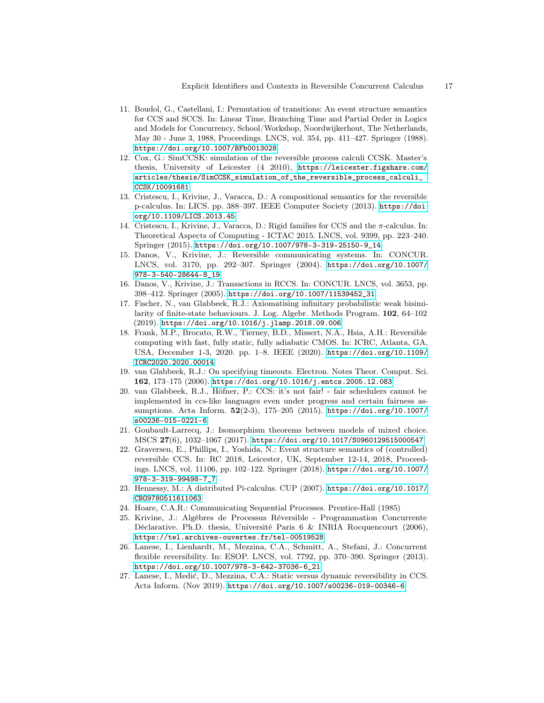- <span id="page-16-9"></span>11. Boudol, G., Castellani, I.: Permutation of transitions: An event structure semantics for CCS and SCCS. In: Linear Time, Branching Time and Partial Order in Logics and Models for Concurrency, School/Workshop, Noordwijkerhout, The Netherlands, May 30 - June 3, 1988, Proceedings. LNCS, vol. 354, pp. 411–427. Springer (1988). <https://doi.org/10.1007/BFb0013028>
- <span id="page-16-12"></span>12. Cox, G.: SimCCSK: simulation of the reversible process calculi CCSK. Master's thesis, University of Leicester (4 2010), [https://leicester.figshare.com/](https://leicester.figshare.com/articles/thesis/ SimCCSK_simulation_of_the_reversible_process_calculi_CCSK/ 10091681) [articles/thesis/SimCCSK\\_simulation\\_of\\_the\\_reversible\\_process\\_calculi\\_](https://leicester.figshare.com/articles/thesis/ SimCCSK_simulation_of_the_reversible_process_calculi_CCSK/ 10091681) [CCSK/10091681](https://leicester.figshare.com/articles/thesis/ SimCCSK_simulation_of_the_reversible_process_calculi_CCSK/ 10091681)
- <span id="page-16-10"></span>13. Cristescu, I., Krivine, J., Varacca, D.: A compositional semantics for the reversible p-calculus. In: LICS. pp. 388–397. IEEE Computer Society (2013). [https://doi.](https://doi.org/10.1109/LICS.2013.45) [org/10.1109/LICS.2013.45](https://doi.org/10.1109/LICS.2013.45)
- <span id="page-16-4"></span>14. Cristescu, I., Krivine, J., Varacca, D.: Rigid families for CCS and the π-calculus. In: Theoretical Aspects of Computing - ICTAC 2015. LNCS, vol. 9399, pp. 223–240. Springer (2015). [https://doi.org/10.1007/978-3-319-25150-9\\_14](https://doi.org/10.1007/978-3-319-25150-9_14)
- <span id="page-16-2"></span>15. Danos, V., Krivine, J.: Reversible communicating systems. In: CONCUR. LNCS, vol. 3170, pp. 292–307. Springer (2004). [https://doi.org/10.1007/](https://doi.org/10.1007/978-3-540-28644-8_19) [978-3-540-28644-8\\_19](https://doi.org/10.1007/978-3-540-28644-8_19)
- <span id="page-16-7"></span>16. Danos, V., Krivine, J.: Transactions in RCCS. In: CONCUR. LNCS, vol. 3653, pp. 398–412. Springer (2005). [https://doi.org/10.1007/11539452\\_31](https://doi.org/10.1007/11539452_31)
- <span id="page-16-13"></span>17. Fischer, N., van Glabbeek, R.J.: Axiomatising infinitary probabilistic weak bisimilarity of finite-state behaviours. J. Log. Algebr. Methods Program. 102, 64–102  $(2019)$ . <https://doi.org/10.1016/j.jlamp.2018.09.006>
- <span id="page-16-0"></span>18. Frank, M.P., Brocato, R.W., Tierney, B.D., Missert, N.A., Hsia, A.H.: Reversible computing with fast, fully static, fully adiabatic CMOS. In: ICRC, Atlanta, GA, USA, December 1-3, 2020. pp. 1–8. IEEE (2020). [https://doi.org/10.1109/](https://doi.org/10.1109/ICRC2020.2020.00014) [ICRC2020.2020.00014](https://doi.org/10.1109/ICRC2020.2020.00014)
- <span id="page-16-15"></span>19. van Glabbeek, R.J.: On specifying timeouts. Electron. Notes Theor. Comput. Sci. 162, 173–175 (2006). <https://doi.org/10.1016/j.entcs.2005.12.083>
- <span id="page-16-16"></span>20. van Glabbeek, R.J., Höfner, P.: CCS: it's not fair! - fair schedulers cannot be implemented in ccs-like languages even under progress and certain fairness assumptions. Acta Inform. 52(2-3), 175–205 (2015). [https://doi.org/10.1007/](https://doi.org/10.1007/s00236-015-0221-6) [s00236-015-0221-6](https://doi.org/10.1007/s00236-015-0221-6)
- <span id="page-16-14"></span>21. Goubault-Larrecq, J.: Isomorphism theorems between models of mixed choice. MSCS 27(6), 1032–1067 (2017). <https://doi.org/10.1017/S0960129515000547>
- <span id="page-16-5"></span>22. Graversen, E., Phillips, I., Yoshida, N.: Event structure semantics of (controlled) reversible CCS. In: RC 2018, Leicester, UK, September 12-14, 2018, Proceedings. LNCS, vol. 11106, pp. 102–122. Springer (2018). [https://doi.org/10.1007/](https://doi.org/10.1007/978-3-319-99498-7_7) [978-3-319-99498-7\\_7](https://doi.org/10.1007/978-3-319-99498-7_7)
- <span id="page-16-1"></span>23. Hennessy, M.: A distributed Pi-calculus. CUP (2007). [https://doi.org/10.1017/](https://doi.org/10.1017/CBO9780511611063) [CBO9780511611063](https://doi.org/10.1017/CBO9780511611063)
- <span id="page-16-8"></span>24. Hoare, C.A.R.: Communicating Sequential Processes. Prentice-Hall (1985)
- <span id="page-16-6"></span>25. Krivine, J.: Algèbres de Processus Réversible - Programmation Concurrente Déclarative. Ph.D. thesis, Université Paris 6 & INRIA Rocquencourt (2006), <https://tel.archives-ouvertes.fr/tel-00519528>
- <span id="page-16-11"></span>26. Lanese, I., Lienhardt, M., Mezzina, C.A., Schmitt, A., Stefani, J.: Concurrent flexible reversibility. In: ESOP. LNCS, vol. 7792, pp. 370–390. Springer (2013). [https://doi.org/10.1007/978-3-642-37036-6\\_21](https://doi.org/10.1007/978-3-642-37036-6_21)
- <span id="page-16-3"></span>27. Lanese, I., Medić, D., Mezzina, C.A.: Static versus dynamic reversibility in CCS. Acta Inform. (Nov 2019). <https://doi.org/10.1007/s00236-019-00346-6>